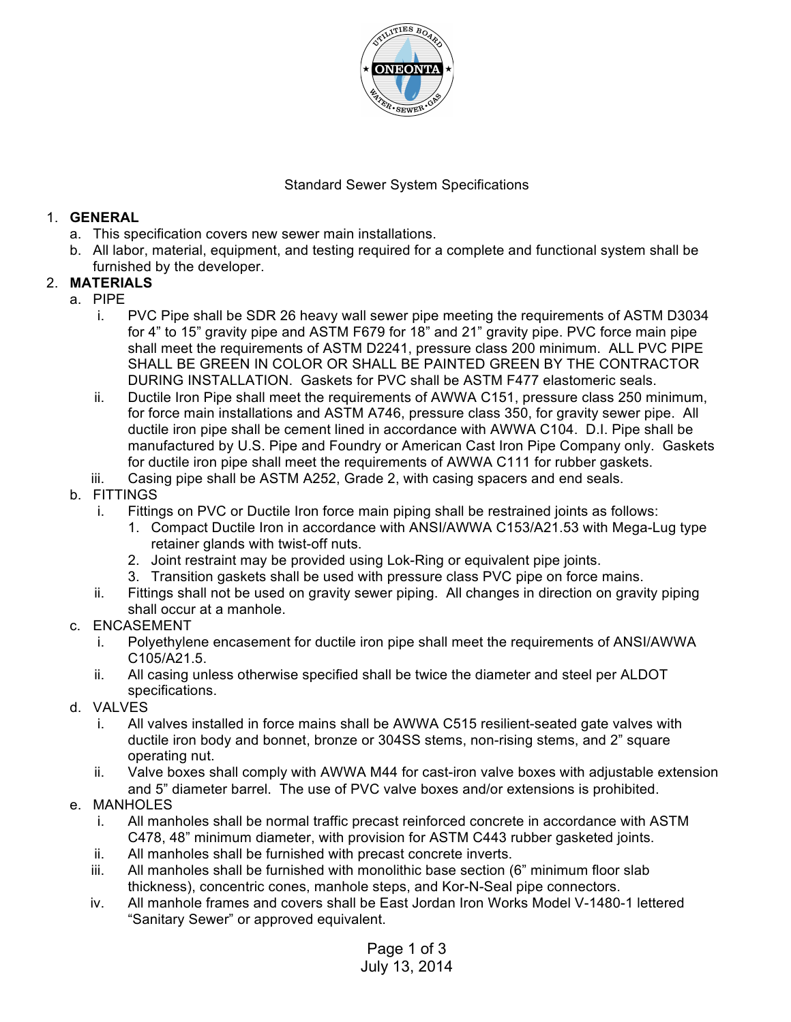

## Standard Sewer System Specifications

#### 1. **GENERAL**

- a. This specification covers new sewer main installations.
- b. All labor, material, equipment, and testing required for a complete and functional system shall be furnished by the developer.

### 2. **MATERIALS**

- a. PIPE
	- i. PVC Pipe shall be SDR 26 heavy wall sewer pipe meeting the requirements of ASTM D3034 for 4" to 15" gravity pipe and ASTM F679 for 18" and 21" gravity pipe. PVC force main pipe shall meet the requirements of ASTM D2241, pressure class 200 minimum. ALL PVC PIPE SHALL BE GREEN IN COLOR OR SHALL BE PAINTED GREEN BY THE CONTRACTOR DURING INSTALLATION. Gaskets for PVC shall be ASTM F477 elastomeric seals.
	- ii. Ductile Iron Pipe shall meet the requirements of AWWA C151, pressure class 250 minimum, for force main installations and ASTM A746, pressure class 350, for gravity sewer pipe. All ductile iron pipe shall be cement lined in accordance with AWWA C104. D.I. Pipe shall be manufactured by U.S. Pipe and Foundry or American Cast Iron Pipe Company only. Gaskets for ductile iron pipe shall meet the requirements of AWWA C111 for rubber gaskets.
	- iii. Casing pipe shall be ASTM A252, Grade 2, with casing spacers and end seals.

### b. FITTINGS

- i. Fittings on PVC or Ductile Iron force main piping shall be restrained joints as follows:
	- 1. Compact Ductile Iron in accordance with ANSI/AWWA C153/A21.53 with Mega-Lug type retainer glands with twist-off nuts.
	- 2. Joint restraint may be provided using Lok-Ring or equivalent pipe joints.
	- 3. Transition gaskets shall be used with pressure class PVC pipe on force mains.
- ii. Fittings shall not be used on gravity sewer piping. All changes in direction on gravity piping shall occur at a manhole.
- c. ENCASEMENT
	- i. Polyethylene encasement for ductile iron pipe shall meet the requirements of ANSI/AWWA C105/A21.5.
	- ii. All casing unless otherwise specified shall be twice the diameter and steel per ALDOT specifications.
- d. VALVES
	- i. All valves installed in force mains shall be AWWA C515 resilient-seated gate valves with ductile iron body and bonnet, bronze or 304SS stems, non-rising stems, and 2" square operating nut.
	- ii. Valve boxes shall comply with AWWA M44 for cast-iron valve boxes with adjustable extension and 5" diameter barrel. The use of PVC valve boxes and/or extensions is prohibited.
- e. MANHOLES
	- i. All manholes shall be normal traffic precast reinforced concrete in accordance with ASTM C478, 48" minimum diameter, with provision for ASTM C443 rubber gasketed joints.
	- ii. All manholes shall be furnished with precast concrete inverts.
	- iii. All manholes shall be furnished with monolithic base section (6" minimum floor slab thickness), concentric cones, manhole steps, and Kor-N-Seal pipe connectors.
	- iv. All manhole frames and covers shall be East Jordan Iron Works Model V-1480-1 lettered "Sanitary Sewer" or approved equivalent.

Page 1 of 3 July 13, 2014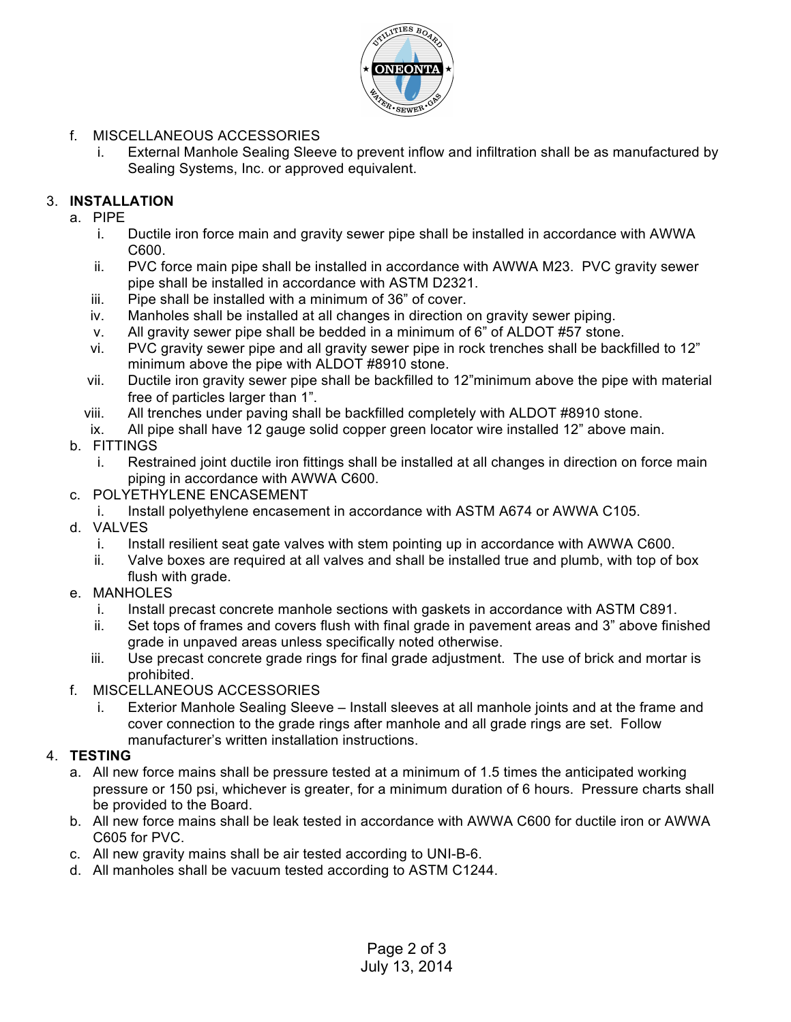

- f. MISCELLANEOUS ACCESSORIES
	- i. External Manhole Sealing Sleeve to prevent inflow and infiltration shall be as manufactured by Sealing Systems, Inc. or approved equivalent.

# 3. **INSTALLATION**

- a. PIPE
	- i. Ductile iron force main and gravity sewer pipe shall be installed in accordance with AWWA C600.
	- ii. PVC force main pipe shall be installed in accordance with AWWA M23. PVC gravity sewer pipe shall be installed in accordance with ASTM D2321.
	- iii. Pipe shall be installed with a minimum of 36" of cover.
	- iv. Manholes shall be installed at all changes in direction on gravity sewer piping.
	- v. All gravity sewer pipe shall be bedded in a minimum of 6" of ALDOT #57 stone.
	- vi. PVC gravity sewer pipe and all gravity sewer pipe in rock trenches shall be backfilled to 12" minimum above the pipe with ALDOT #8910 stone.
	- vii. Ductile iron gravity sewer pipe shall be backfilled to 12"minimum above the pipe with material free of particles larger than 1".
	- viii. All trenches under paving shall be backfilled completely with ALDOT #8910 stone.
	- ix. All pipe shall have 12 gauge solid copper green locator wire installed 12" above main.
- b. FITTINGS
	- i. Restrained joint ductile iron fittings shall be installed at all changes in direction on force main piping in accordance with AWWA C600.
- c. POLYETHYLENE ENCASEMENT
	- i. Install polyethylene encasement in accordance with ASTM A674 or AWWA C105.
- d. VALVES
	- i. Install resilient seat gate valves with stem pointing up in accordance with AWWA C600.
	- ii. Valve boxes are required at all valves and shall be installed true and plumb, with top of box flush with grade.
- e. MANHOLES
	- i. Install precast concrete manhole sections with gaskets in accordance with ASTM C891.
	- ii. Set tops of frames and covers flush with final grade in pavement areas and 3" above finished grade in unpaved areas unless specifically noted otherwise.
	- iii. Use precast concrete grade rings for final grade adjustment. The use of brick and mortar is prohibited.
- f. MISCELLANEOUS ACCESSORIES
	- i. Exterior Manhole Sealing Sleeve Install sleeves at all manhole joints and at the frame and cover connection to the grade rings after manhole and all grade rings are set. Follow manufacturer's written installation instructions.

# 4. **TESTING**

- a. All new force mains shall be pressure tested at a minimum of 1.5 times the anticipated working pressure or 150 psi, whichever is greater, for a minimum duration of 6 hours. Pressure charts shall be provided to the Board.
- b. All new force mains shall be leak tested in accordance with AWWA C600 for ductile iron or AWWA C605 for PVC.
- c. All new gravity mains shall be air tested according to UNI-B-6.
- d. All manholes shall be vacuum tested according to ASTM C1244.